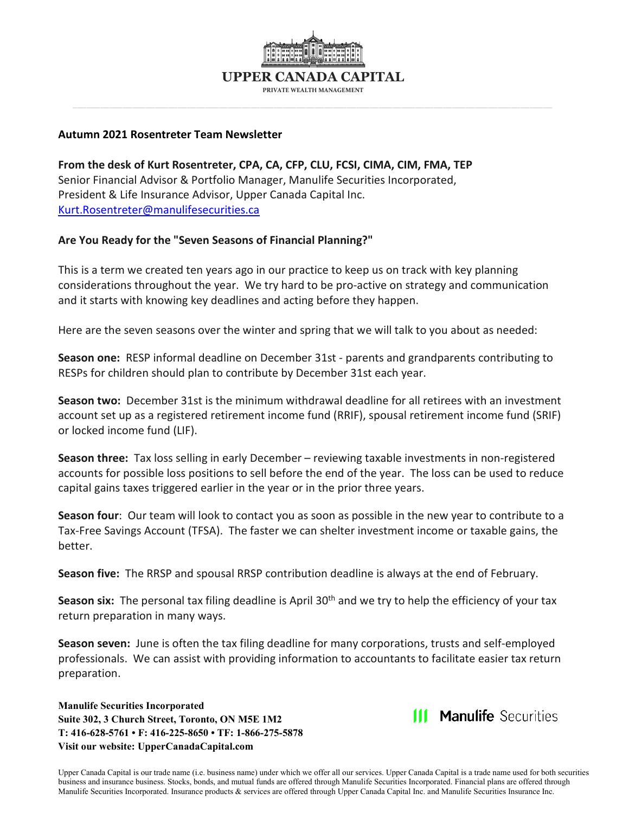

#### **Autumn 2021 Rosentreter Team Newsletter**

**From the desk of Kurt Rosentreter, CPA, CA, CFP, CLU, FCSI, CIMA, CIM, FMA, TEP** Senior Financial Advisor & Portfolio Manager, Manulife Securities Incorporated, President & Life Insurance Advisor, Upper Canada Capital Inc. [Kurt.Rosentreter@manulifesecurities.ca](mailto:Kurt.Rosentreter@manulifesecurities.ca)

### **Are You Ready for the "Seven Seasons of Financial Planning?"**

This is a term we created ten years ago in our practice to keep us on track with key planning considerations throughout the year. We try hard to be pro-active on strategy and communication and it starts with knowing key deadlines and acting before they happen.

Here are the seven seasons over the winter and spring that we will talk to you about as needed:

**Season one:** RESP informal deadline on December 31st - parents and grandparents contributing to RESPs for children should plan to contribute by December 31st each year.

**Season two:** December 31st is the minimum withdrawal deadline for all retirees with an investment account set up as a registered retirement income fund (RRIF), spousal retirement income fund (SRIF) or locked income fund (LIF).

**Season three:** Tax loss selling in early December – reviewing taxable investments in non-registered accounts for possible loss positions to sell before the end of the year. The loss can be used to reduce capital gains taxes triggered earlier in the year or in the prior three years.

**Season four**: Our team will look to contact you as soon as possible in the new year to contribute to a Tax-Free Savings Account (TFSA). The faster we can shelter investment income or taxable gains, the better.

**Season five:** The RRSP and spousal RRSP contribution deadline is always at the end of February.

Season six: The personal tax filing deadline is April 30<sup>th</sup> and we try to help the efficiency of your tax return preparation in many ways.

**Season seven:** June is often the tax filing deadline for many corporations, trusts and self-employed professionals. We can assist with providing information to accountants to facilitate easier tax return preparation.

**Manulife Securities Incorporated Suite 302, 3 Church Street, Toronto, ON M5E 1M2 T: 416-628-5761 • F: 416-225-8650 • TF: 1-866-275-5878 Visit our website: UpperCanadaCapital.com**

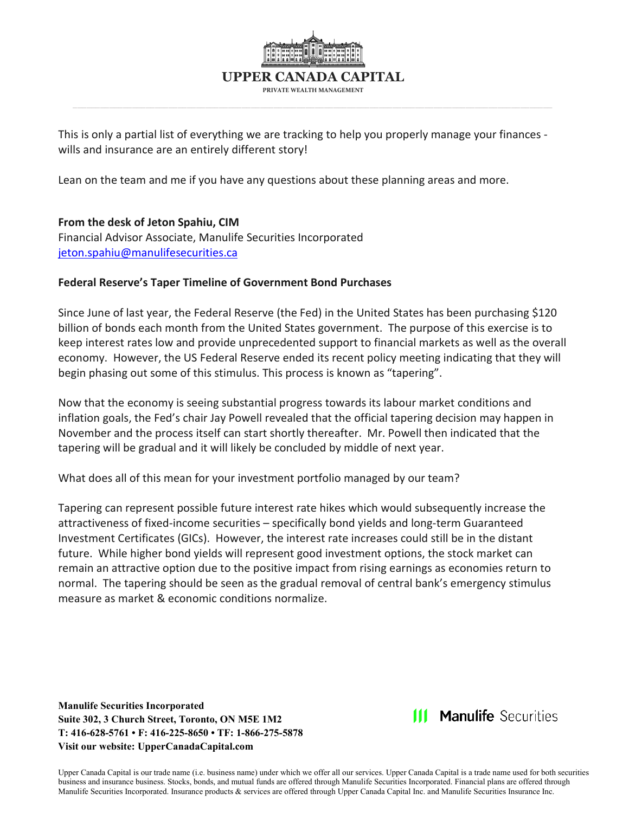

This is only a partial list of everything we are tracking to help you properly manage your finances wills and insurance are an entirely different story!

Lean on the team and me if you have any questions about these planning areas and more.

### **From the desk of Jeton Spahiu, CIM**

Financial Advisor Associate, Manulife Securities Incorporated [jeton.spahiu@manulifesecurities.ca](mailto:jeton.spahiu@manulifesecurities.ca)

### **Federal Reserve's Taper Timeline of Government Bond Purchases**

Since June of last year, the Federal Reserve (the Fed) in the United States has been purchasing \$120 billion of bonds each month from the United States government. The purpose of this exercise is to keep interest rates low and provide unprecedented support to financial markets as well as the overall economy. However, the US Federal Reserve ended its recent policy meeting indicating that they will begin phasing out some of this stimulus. This process is known as "tapering".

Now that the economy is seeing substantial progress towards its labour market conditions and inflation goals, the Fed's chair Jay Powell revealed that the official tapering decision may happen in November and the process itself can start shortly thereafter. Mr. Powell then indicated that the tapering will be gradual and it will likely be concluded by middle of next year.

What does all of this mean for your investment portfolio managed by our team?

Tapering can represent possible future interest rate hikes which would subsequently increase the attractiveness of fixed-income securities – specifically bond yields and long-term Guaranteed Investment Certificates (GICs). However, the interest rate increases could still be in the distant future. While higher bond yields will represent good investment options, the stock market can remain an attractive option due to the positive impact from rising earnings as economies return to normal. The tapering should be seen as the gradual removal of central bank's emergency stimulus measure as market & economic conditions normalize.

**Manulife Securities Incorporated Suite 302, 3 Church Street, Toronto, ON M5E 1M2 T: 416-628-5761 • F: 416-225-8650 • TF: 1-866-275-5878 Visit our website: UpperCanadaCapital.com**

**111 Manulife Securities**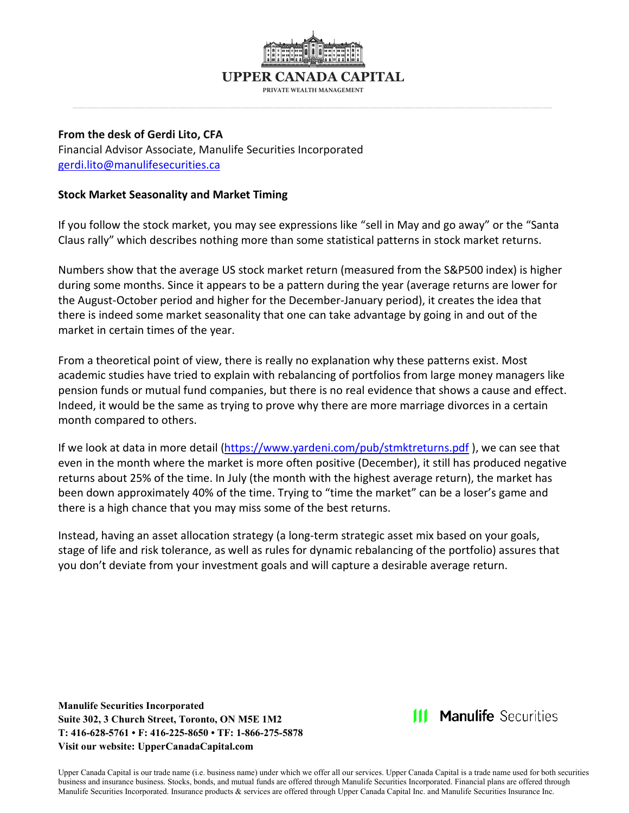**PRIVATE WEALTH MANAGEMENT**

#### **From the desk of Gerdi Lito, CFA**

Financial Advisor Associate, Manulife Securities Incorporated [gerdi.lito@manulifesecurities.ca](mailto:gerdi.lito@manulifesecurities.ca)

### **Stock Market Seasonality and Market Timing**

If you follow the stock market, you may see expressions like "sell in May and go away" or the "Santa Claus rally" which describes nothing more than some statistical patterns in stock market returns.

Numbers show that the average US stock market return (measured from the S&P500 index) is higher during some months. Since it appears to be a pattern during the year (average returns are lower for the August-October period and higher for the December-January period), it creates the idea that there is indeed some market seasonality that one can take advantage by going in and out of the market in certain times of the year.

From a theoretical point of view, there is really no explanation why these patterns exist. Most academic studies have tried to explain with rebalancing of portfolios from large money managers like pension funds or mutual fund companies, but there is no real evidence that shows a cause and effect. Indeed, it would be the same as trying to prove why there are more marriage divorces in a certain month compared to others.

If we look at data in more detail [\(https://www.yardeni.com/pub/stmktreturns.pdf](https://www.yardeni.com/pub/stmktreturns.pdf) ), we can see that even in the month where the market is more often positive (December), it still has produced negative returns about 25% of the time. In July (the month with the highest average return), the market has been down approximately 40% of the time. Trying to "time the market" can be a loser's game and there is a high chance that you may miss some of the best returns.

Instead, having an asset allocation strategy (a long-term strategic asset mix based on your goals, stage of life and risk tolerance, as well as rules for dynamic rebalancing of the portfolio) assures that you don't deviate from your investment goals and will capture a desirable average return.

**Manulife Securities Incorporated Suite 302, 3 Church Street, Toronto, ON M5E 1M2 T: 416-628-5761 • F: 416-225-8650 • TF: 1-866-275-5878 Visit our website: UpperCanadaCapital.com**

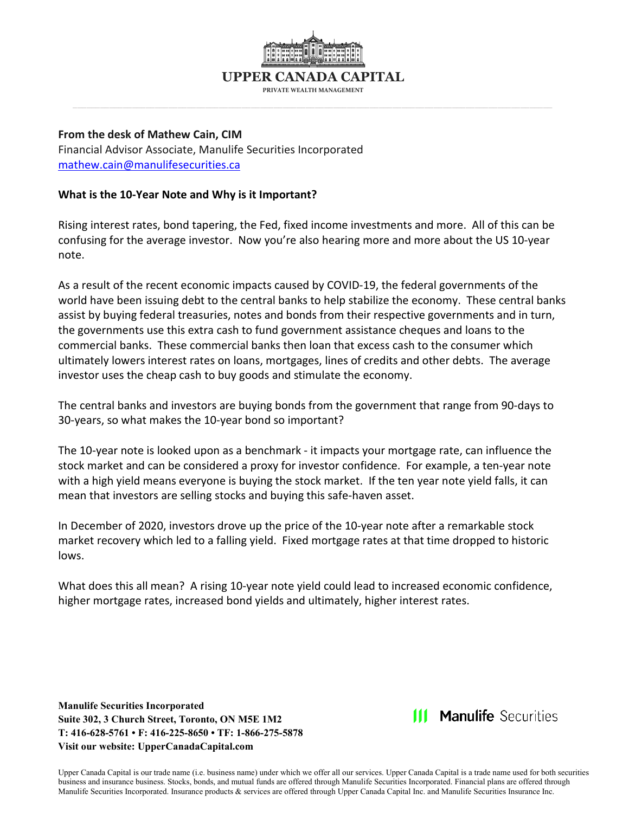

**PRIVATE WEALTH MANAGEMENT**

# **From the desk of Mathew Cain, CIM** Financial Advisor Associate, Manulife Securities Incorporated

[mathew.cain@manulifesecurities.ca](mailto:mathew.cain@manulifesecurities.ca)

### **What is the 10-Year Note and Why is it Important?**

Rising interest rates, bond tapering, the Fed, fixed income investments and more. All of this can be confusing for the average investor. Now you're also hearing more and more about the US 10-year note.

As a result of the recent economic impacts caused by COVID-19, the federal governments of the world have been issuing debt to the central banks to help stabilize the economy. These central banks assist by buying federal treasuries, notes and bonds from their respective governments and in turn, the governments use this extra cash to fund government assistance cheques and loans to the commercial banks. These commercial banks then loan that excess cash to the consumer which ultimately lowers interest rates on loans, mortgages, lines of credits and other debts. The average investor uses the cheap cash to buy goods and stimulate the economy.

The central banks and investors are buying bonds from the government that range from 90-days to 30-years, so what makes the 10-year bond so important?

The 10-year note is looked upon as a benchmark - it impacts your mortgage rate, can influence the stock market and can be considered a proxy for investor confidence. For example, a ten-year note with a high yield means everyone is buying the stock market. If the ten year note yield falls, it can mean that investors are selling stocks and buying this safe-haven asset.

In December of 2020, investors drove up the price of the 10-year note after a remarkable stock market recovery which led to a falling yield. Fixed mortgage rates at that time dropped to historic lows.

What does this all mean? A rising 10-year note yield could lead to increased economic confidence, higher mortgage rates, increased bond yields and ultimately, higher interest rates.

**Manulife Securities Incorporated Suite 302, 3 Church Street, Toronto, ON M5E 1M2 T: 416-628-5761 • F: 416-225-8650 • TF: 1-866-275-5878 Visit our website: UpperCanadaCapital.com**

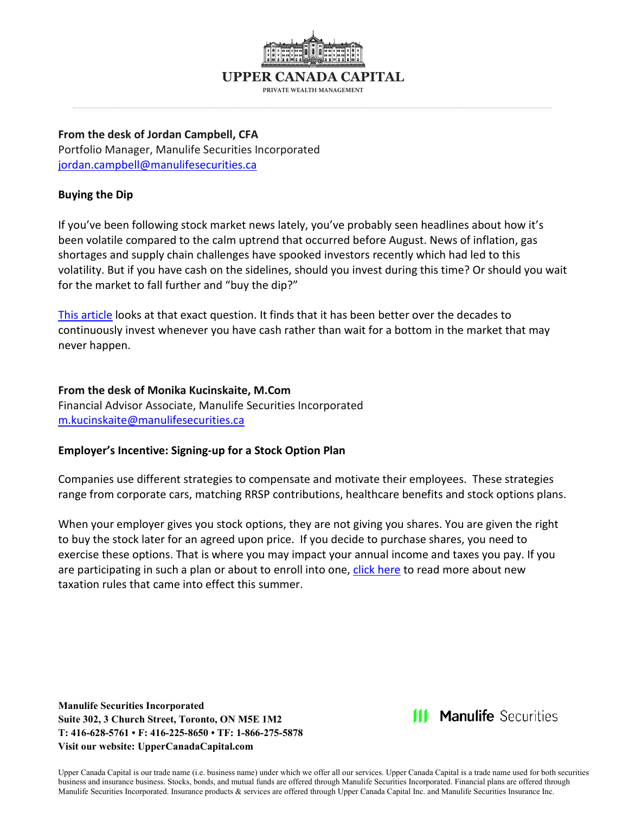

**PRIVATE WEALTH MANAGEMENT**

#### **From the desk of Jordan Campbell, CFA** Portfolio Manager, Manulife Securities Incorporated

[jordan.campbell@manulifesecurities.ca](mailto:jordan.campbell@manulifesecurities.ca)

## **Buying the Dip**

If you've been following stock market news lately, you've probably seen headlines about how it's been volatile compared to the calm uptrend that occurred before August. News of inflation, gas shortages and supply chain challenges have spooked investors recently which had led to this volatility. But if you have cash on the sidelines, should you invest during this time? Or should you wait for the market to fall further and "buy the dip?"

[This article](https://ofdollarsanddata.com/even-god-couldnt-beat-dollar-cost-averaging/) looks at that exact question. It finds that it has been better over the decades to continuously invest whenever you have cash rather than wait for a bottom in the market that may never happen.

### **From the desk of Monika Kucinskaite, M.Com**

Financial Advisor Associate, Manulife Securities Incorporated [m.kucinskaite@manulifesecurities.ca](mailto:m.kucinskaite@manulifesecurities.ca)

### **Employer's Incentive: Signing-up for a Stock Option Plan**

Companies use different strategies to compensate and motivate their employees. These strategies range from corporate cars, matching RRSP contributions, healthcare benefits and stock options plans.

When your employer gives you stock options, they are not giving you shares. You are given the right to buy the stock later for an agreed upon price. If you decide to purchase shares, you need to exercise these options. That is where you may impact your annual income and taxes you pay. If you are participating in such a plan or about to enroll into one, [click here](https://www.jamiegolombek.com/articledetail.php?article_id=1933) to read more about new taxation rules that came into effect this summer.

**Manulife Securities Incorporated Suite 302, 3 Church Street, Toronto, ON M5E 1M2 T: 416-628-5761 • F: 416-225-8650 • TF: 1-866-275-5878 Visit our website: UpperCanadaCapital.com**

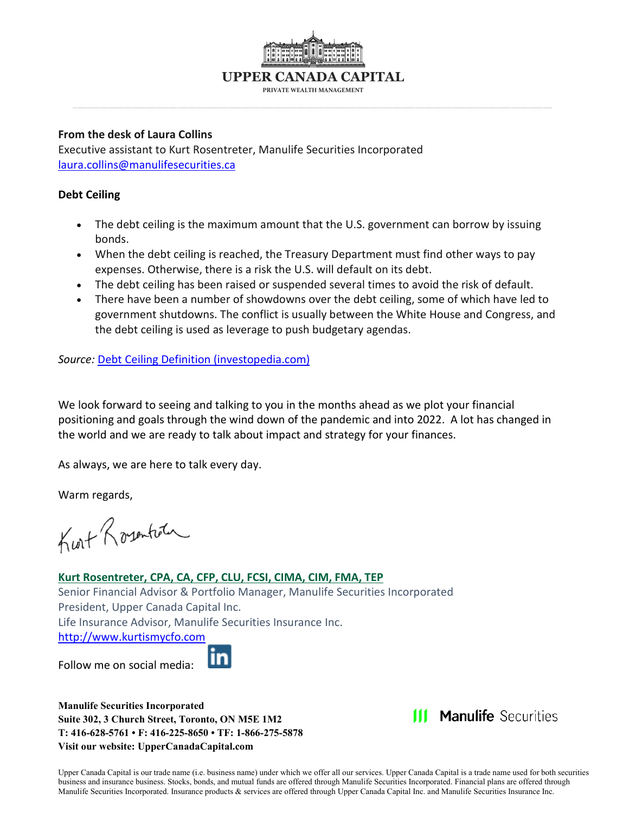

**PRIVATE WEALTH MANAGEMENT**

#### **From the desk of Laura Collins**

Executive assistant to Kurt Rosentreter, Manulife Securities Incorporated [laura.collins@manulifesecurities.ca](mailto:laura.collins@manulifesecurities.ca)

### **Debt Ceiling**

- The debt ceiling is the maximum amount that the U.S. government can borrow by issuing bonds.
- When the debt ceiling is reached, the Treasury Department must find other ways to pay expenses. Otherwise, there is a risk the U.S. will default on its debt.
- The debt ceiling has been raised or suspended several times to avoid the risk of default.
- There have been a number of showdowns over the debt ceiling, some of which have led to government shutdowns. The conflict is usually between the White House and Congress, and the debt ceiling is used as leverage to push budgetary agendas.

*Source:* [Debt Ceiling Definition \(investopedia.com\)](https://www.investopedia.com/terms/d/debt-ceiling.asp?utm_source=term-of-the-day&utm_campaign=housead&utm_term=24608556&utm_medium=email)

We look forward to seeing and talking to you in the months ahead as we plot your financial positioning and goals through the wind down of the pandemic and into 2022. A lot has changed in the world and we are ready to talk about impact and strategy for your finances.

As always, we are here to talk every day.

Warm regards,

Kurt Rosentian

# **Kurt Rosentreter, CPA, CA, CFP, CLU, FCSI, CIMA, CIM, FMA, TEP** Senior Financial Advisor & Portfolio Manager, Manulife Securities Incorporated President, Upper Canada Capital Inc. Life Insurance Advisor, Manulife Securities Insurance Inc. [http://www.kurtismycfo.com](http://www.kurtismycfo.com/)

Follow me on social media:



**Manulife Securities Incorporated Suite 302, 3 Church Street, Toronto, ON M5E 1M2 T: 416-628-5761 • F: 416-225-8650 • TF: 1-866-275-5878 Visit our website: UpperCanadaCapital.com**